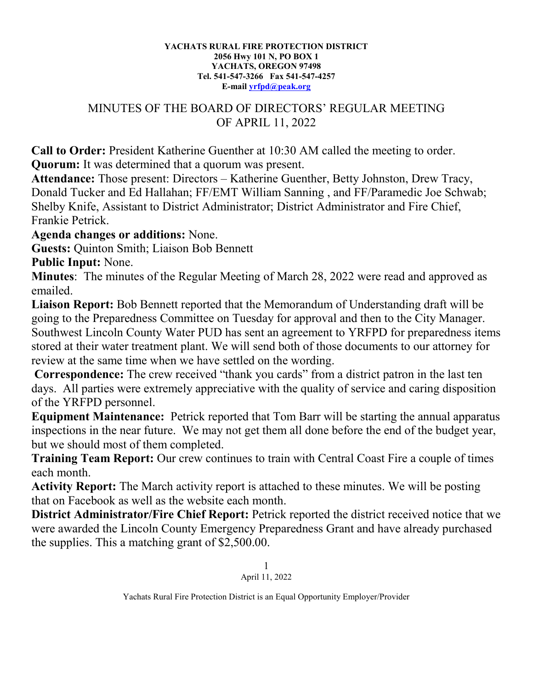## **YACHATS RURAL FIRE PROTECTION DISTRICT 2056 Hwy 101 N, PO BOX 1 YACHATS, OREGON 97498 Tel. 541-547-3266 Fax 541-547-4257 E-mail [yrfpd@peak.org](mailto:yrfpd@peak.org)**

## MINUTES OF THE BOARD OF DIRECTORS' REGULAR MEETING OF APRIL 11, 2022

**Call to Order:** President Katherine Guenther at 10:30 AM called the meeting to order. **Quorum:** It was determined that a quorum was present.

**Attendance:** Those present: Directors – Katherine Guenther, Betty Johnston, Drew Tracy, Donald Tucker and Ed Hallahan; FF/EMT William Sanning , and FF/Paramedic Joe Schwab; Shelby Knife, Assistant to District Administrator; District Administrator and Fire Chief, Frankie Petrick.

## **Agenda changes or additions:** None.

**Guests:** Quinton Smith; Liaison Bob Bennett

**Public Input:** None.

**Minutes**: The minutes of the Regular Meeting of March 28, 2022 were read and approved as emailed.

**Liaison Report:** Bob Bennett reported that the Memorandum of Understanding draft will be going to the Preparedness Committee on Tuesday for approval and then to the City Manager. Southwest Lincoln County Water PUD has sent an agreement to YRFPD for preparedness items stored at their water treatment plant. We will send both of those documents to our attorney for review at the same time when we have settled on the wording.

**Correspondence:** The crew received "thank you cards" from a district patron in the last ten days. All parties were extremely appreciative with the quality of service and caring disposition of the YRFPD personnel.

**Equipment Maintenance:** Petrick reported that Tom Barr will be starting the annual apparatus inspections in the near future. We may not get them all done before the end of the budget year, but we should most of them completed.

**Training Team Report:** Our crew continues to train with Central Coast Fire a couple of times each month.

**Activity Report:** The March activity report is attached to these minutes. We will be posting that on Facebook as well as the website each month.

**District Administrator/Fire Chief Report:** Petrick reported the district received notice that we were awarded the Lincoln County Emergency Preparedness Grant and have already purchased the supplies. This a matching grant of \$2,500.00.